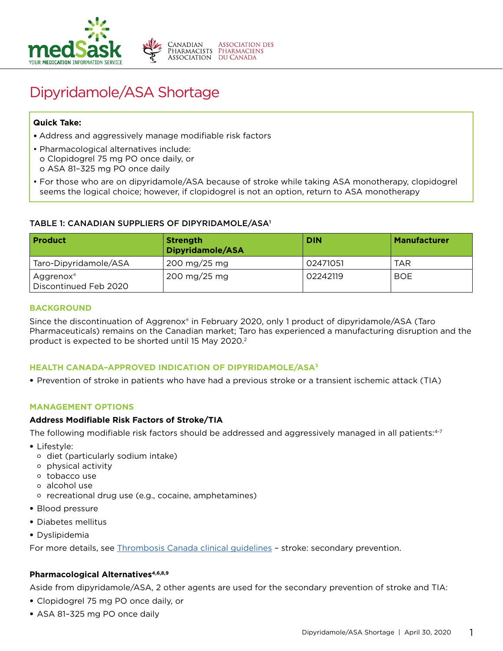

# Dipyridamole/ASA Shortage

## **Quick Take:**

- Address and aggressively manage modifiable risk factors
- Pharmacological alternatives include: o Clopidogrel 75 mg PO once daily, or o ASA 81–325 mg PO once daily
- For those who are on dipyridamole/ASA because of stroke while taking ASA monotherapy, clopidogrel seems the logical choice; however, if clopidogrel is not an option, return to ASA monotherapy

## TABLE 1: CANADIAN SUPPLIERS OF DIPYRIDAMOLE/ASA1

| <b>Product</b>                     | <b>Strength</b><br>Dipyridamole/ASA  | <b>DIN</b> | <b>Manufacturer</b> |
|------------------------------------|--------------------------------------|------------|---------------------|
| Taro-Dipyridamole/ASA              | 200 mg/25 mg                         | 02471051   | <b>TAR</b>          |
| Aggrenox®<br>Discontinued Feb 2020 | $200 \,\mathrm{mg}/25 \,\mathrm{mg}$ | 02242119   | BOE                 |

### **BACKGROUND**

Since the discontinuation of Aggrenox® in February 2020, only 1 product of dipyridamole/ASA (Taro Pharmaceuticals) remains on the Canadian market; Taro has experienced a manufacturing disruption and the product is expected to be shorted until 15 May 2020.2

## **HEALTH CANADA–APPROVED INDICATION OF DIPYRIDAMOLE/ASA3**

• Prevention of stroke in patients who have had a previous stroke or a transient ischemic attack (TIA)

#### **MANAGEMENT OPTIONS**

#### **Address Modifiable Risk Factors of Stroke/TIA**

The following modifiable risk factors should be addressed and aggressively managed in all patients:<sup>4-7</sup>

- Lifestyle:
	- o diet (particularly sodium intake)
	- o physical activity
	- o tobacco use
	- o alcohol use
	- o recreational drug use (e.g., cocaine, amphetamines)
- Blood pressure
- Diabetes mellitus
- Dyslipidemia

For more details, see [Thrombosis Canada clinical guidelines](https://thrombosiscanada.ca/clinicalguides) – stroke: secondary prevention.

## **Pharmacological Alternatives4,6,8,9**

Aside from dipyridamole/ASA, 2 other agents are used for the secondary prevention of stroke and TIA:

- Clopidogrel 75 mg PO once daily, or
- ASA 81–325 mg PO once daily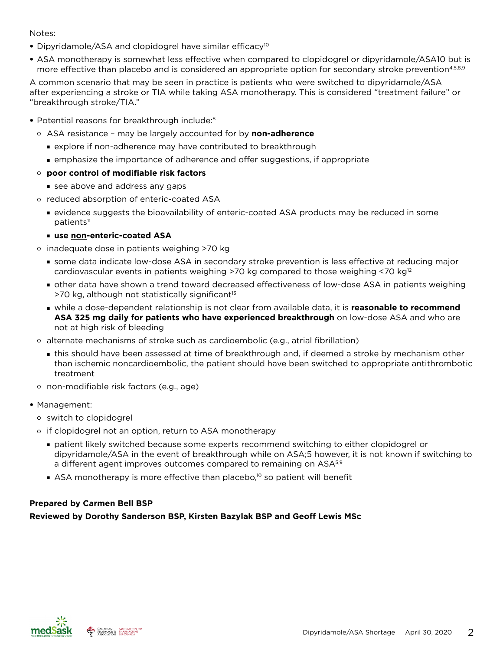## Notes:

- Dipyridamole/ASA and clopidogrel have similar efficacy<sup>10</sup>
- ASA monotherapy is somewhat less effective when compared to clopidogrel or dipyridamole/ASA10 but is more effective than placebo and is considered an appropriate option for secondary stroke prevention<sup>4,5,8,9</sup>

A common scenario that may be seen in practice is patients who were switched to dipyridamole/ASA after experiencing a stroke or TIA while taking ASA monotherapy. This is considered "treatment failure" or "breakthrough stroke/TIA."

- Potential reasons for breakthrough include:<sup>8</sup>
	- o ASA resistance may be largely accounted for by **non-adherence**
		- **Explore if non-adherence may have contributed to breakthrough**
		- **n** emphasize the importance of adherence and offer suggestions, if appropriate

## o **poor control of modifiable risk factors**

- see above and address any gaps
- o reduced absorption of enteric-coated ASA
	- <sup>n</sup> evidence suggests the bioavailability of enteric-coated ASA products may be reduced in some patients<sup>11</sup>
	- **use non-enteric-coated ASA**
- o inadequate dose in patients weighing >70 kg
	- **some data indicate low-dose ASA in secondary stroke prevention is less effective at reducing major** cardiovascular events in patients weighing >70 kg compared to those weighing <70  $kg<sup>12</sup>$
	- other data have shown a trend toward decreased effectiveness of low-dose ASA in patients weighing  $>$ 70 kg, although not statistically significant<sup>13</sup>
	- **n** while a dose-dependent relationship is not clear from available data, it is **reasonable to recommend ASA 325 mg daily for patients who have experienced breakthrough** on low-dose ASA and who are not at high risk of bleeding
- o alternate mechanisms of stroke such as cardioembolic (e.g., atrial fibrillation)
	- **In** this should have been assessed at time of breakthrough and, if deemed a stroke by mechanism other than ischemic noncardioembolic, the patient should have been switched to appropriate antithrombotic treatment
- o non-modifiable risk factors (e.g., age)
- Management:
	- o switch to clopidogrel
	- o if clopidogrel not an option, return to ASA monotherapy
		- <sup>n</sup> patient likely switched because some experts recommend switching to either clopidogrel or dipyridamole/ASA in the event of breakthrough while on ASA;5 however, it is not known if switching to a different agent improves outcomes compared to remaining on ASA<sup>5,9</sup>
		- $\blacksquare$  ASA monotherapy is more effective than placebo,<sup>10</sup> so patient will benefit

## **Prepared by Carmen Bell BSP**

**Reviewed by Dorothy Sanderson BSP, Kirsten Bazylak BSP and Geoff Lewis MSc**